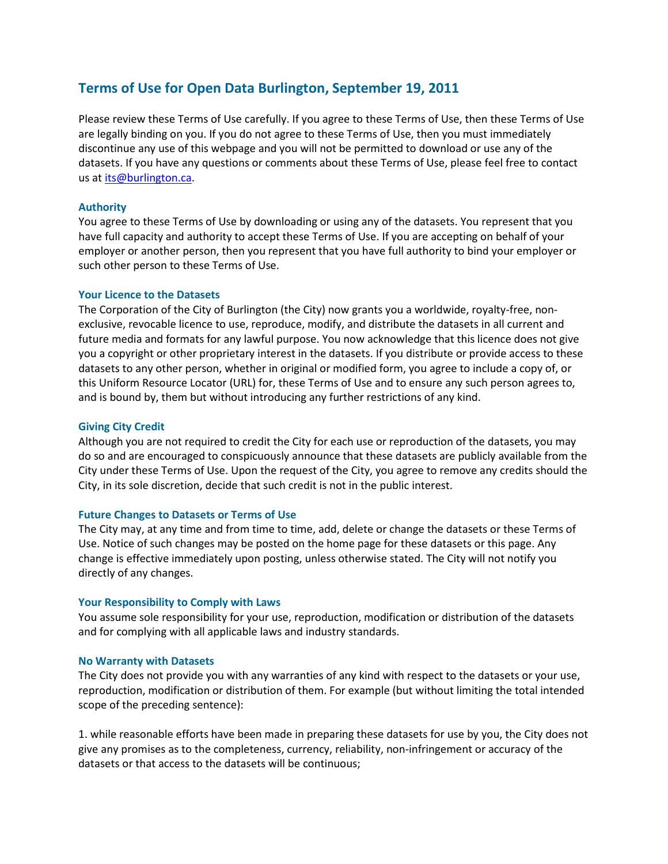# **Terms of Use for Open Data Burlington, September 19, 2011**

Please review these Terms of Use carefully. If you agree to these Terms of Use, then these Terms of Use are legally binding on you. If you do not agree to these Terms of Use, then you must immediately discontinue any use of this webpage and you will not be permitted to download or use any of the datasets. If you have any questions or comments about these Terms of Use, please feel free to contact us at [its@burlington.ca.](mailto:its@burlington.ca)

# **Authority**

You agree to these Terms of Use by downloading or using any of the datasets. You represent that you have full capacity and authority to accept these Terms of Use. If you are accepting on behalf of your employer or another person, then you represent that you have full authority to bind your employer or such other person to these Terms of Use.

# **Your Licence to the Datasets**

The Corporation of the City of Burlington (the City) now grants you a worldwide, royalty-free, nonexclusive, revocable licence to use, reproduce, modify, and distribute the datasets in all current and future media and formats for any lawful purpose. You now acknowledge that this licence does not give you a copyright or other proprietary interest in the datasets. If you distribute or provide access to these datasets to any other person, whether in original or modified form, you agree to include a copy of, or this Uniform Resource Locator (URL) for, these Terms of Use and to ensure any such person agrees to, and is bound by, them but without introducing any further restrictions of any kind.

## **Giving City Credit**

Although you are not required to credit the City for each use or reproduction of the datasets, you may do so and are encouraged to conspicuously announce that these datasets are publicly available from the City under these Terms of Use. Upon the request of the City, you agree to remove any credits should the City, in its sole discretion, decide that such credit is not in the public interest.

## **Future Changes to Datasets or Terms of Use**

The City may, at any time and from time to time, add, delete or change the datasets or these Terms of Use. Notice of such changes may be posted on the home page for these datasets or this page. Any change is effective immediately upon posting, unless otherwise stated. The City will not notify you directly of any changes.

## **Your Responsibility to Comply with Laws**

You assume sole responsibility for your use, reproduction, modification or distribution of the datasets and for complying with all applicable laws and industry standards.

## **No Warranty with Datasets**

The City does not provide you with any warranties of any kind with respect to the datasets or your use, reproduction, modification or distribution of them. For example (but without limiting the total intended scope of the preceding sentence):

1. while reasonable efforts have been made in preparing these datasets for use by you, the City does not give any promises as to the completeness, currency, reliability, non-infringement or accuracy of the datasets or that access to the datasets will be continuous;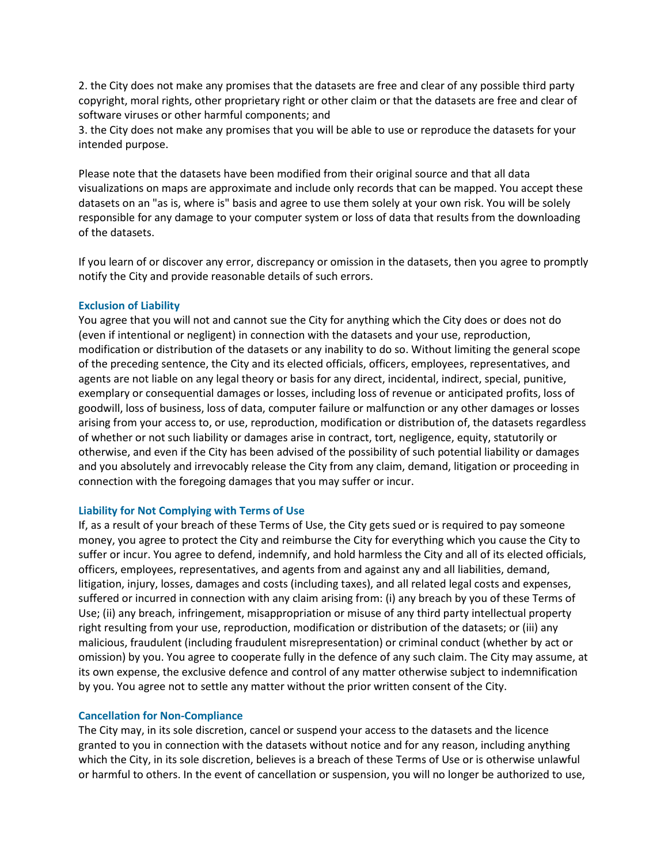2. the City does not make any promises that the datasets are free and clear of any possible third party copyright, moral rights, other proprietary right or other claim or that the datasets are free and clear of software viruses or other harmful components; and

3. the City does not make any promises that you will be able to use or reproduce the datasets for your intended purpose.

Please note that the datasets have been modified from their original source and that all data visualizations on maps are approximate and include only records that can be mapped. You accept these datasets on an "as is, where is" basis and agree to use them solely at your own risk. You will be solely responsible for any damage to your computer system or loss of data that results from the downloading of the datasets.

If you learn of or discover any error, discrepancy or omission in the datasets, then you agree to promptly notify the City and provide reasonable details of such errors.

## **Exclusion of Liability**

You agree that you will not and cannot sue the City for anything which the City does or does not do (even if intentional or negligent) in connection with the datasets and your use, reproduction, modification or distribution of the datasets or any inability to do so. Without limiting the general scope of the preceding sentence, the City and its elected officials, officers, employees, representatives, and agents are not liable on any legal theory or basis for any direct, incidental, indirect, special, punitive, exemplary or consequential damages or losses, including loss of revenue or anticipated profits, loss of goodwill, loss of business, loss of data, computer failure or malfunction or any other damages or losses arising from your access to, or use, reproduction, modification or distribution of, the datasets regardless of whether or not such liability or damages arise in contract, tort, negligence, equity, statutorily or otherwise, and even if the City has been advised of the possibility of such potential liability or damages and you absolutely and irrevocably release the City from any claim, demand, litigation or proceeding in connection with the foregoing damages that you may suffer or incur.

## **Liability for Not Complying with Terms of Use**

If, as a result of your breach of these Terms of Use, the City gets sued or is required to pay someone money, you agree to protect the City and reimburse the City for everything which you cause the City to suffer or incur. You agree to defend, indemnify, and hold harmless the City and all of its elected officials, officers, employees, representatives, and agents from and against any and all liabilities, demand, litigation, injury, losses, damages and costs (including taxes), and all related legal costs and expenses, suffered or incurred in connection with any claim arising from: (i) any breach by you of these Terms of Use; (ii) any breach, infringement, misappropriation or misuse of any third party intellectual property right resulting from your use, reproduction, modification or distribution of the datasets; or (iii) any malicious, fraudulent (including fraudulent misrepresentation) or criminal conduct (whether by act or omission) by you. You agree to cooperate fully in the defence of any such claim. The City may assume, at its own expense, the exclusive defence and control of any matter otherwise subject to indemnification by you. You agree not to settle any matter without the prior written consent of the City.

## **Cancellation for Non-Compliance**

The City may, in its sole discretion, cancel or suspend your access to the datasets and the licence granted to you in connection with the datasets without notice and for any reason, including anything which the City, in its sole discretion, believes is a breach of these Terms of Use or is otherwise unlawful or harmful to others. In the event of cancellation or suspension, you will no longer be authorized to use,